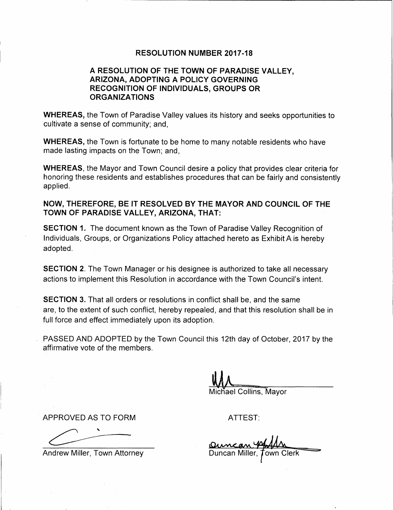### **RESOLUTION NUMBER 2017-18**

## **A RESOLUTION OF THE TOWN OF PARADISE VALLEY, ARIZONA, ADOPTING A POLICY GOVERNING RECOGNITION OF INDIVIDUALS, GROUPS OR ORGANIZATIONS**

**WHEREAS,** the Town of Paradise Valley values its history and seeks opportunities to cultivate a sense of community; and,

**WHEREAS,** the Town is fortunate to be home to many notable residents who have made lasting impacts on the Town; and,

**WHEREAS,** the Mayor and Town Council desire a policy that provides clear criteria for honoring these residents and establishes procedures that can be fairly and consistently applied.

**NOW, THEREFORE, BE IT RESOLVED BY THE MAYOR AND COUNCIL OF THE TOWN OF PARADISE VALLEY, ARIZONA, THAT:** 

**SECTION 1.** The document known as the Town of Paradise Valley Recognition of Individuals, Groups, or Organizations Policy attached hereto as Exhibit A is hereby adopted.

**SECTION 2.** The Town Manager or his designee is authorized to take all necessary actions to implement this Resolution in accordance with the Town Council's intent.

**SECTION 3.** That all orders or resolutions in conflict shall be, and the same are, to the extent of such conflict, hereby repealed, and that this resolution shall be in full force and effect immediately upon its adoption.

PASSED AND ADOPTED by the Town Council this 12th day of October, 2017 by the affirmative vote of the members.

Michael Collins, Mayor

APPROVED AS TO FORM ATTEST:

Andrew Miller, Town Attorney

**Quincan VAAM**<br>Duncan Miller, Town Clerk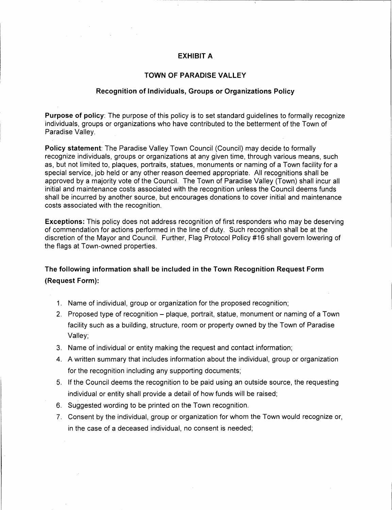### **EXHIBIT A**

 $\sim 10^7$ 

### **TOWN OF PARADISE VALLEY**

#### **Recognition of Individuals, Groups or Organizations Policy**

**Purpose of policy:** The purpose of this policy is to set standard guidelines to formally recognize individuals, groups or organizations who have contributed to the betterment of the Town of Paradise Valley.

**Policy statement:** The Paradise Valley Town Council (Council) may decide to formally recognize individuals, groups or organizations at any given time, through various means, such as, but not limited to, plaques, portraits, statues, monuments or naming of a Town facility for a special service, job held or any other reason deemed appropriate. All recognitions shall be approved by a majority vote of the Council. The Town of Paradise Valley (Town) shall incur all initial and maintenance costs associated with the recognition unless the Council deems funds shall be incurred by another source, but encourages donations to cover initial and maintenance costs associated with the recognition.

**Exceptions:** This policy does not address recognition of first responders who may be deserving of commendation for actions performed in the line of duty. Such recognition shall be at the discretion of the Mayor and Council. Further, Flag Protocol Policy #16 shall govern lowering of the flags at Town-owned properties.

## **The following information shall be included in the Town Recognition Request Form (Request Form):**

- 1. Name of individual, group or organization for the proposed recognition;
- 2. Proposed type of recognition plaque, portrait, statue, monument or naming of a Town facility such as a building, structure, room or property owned by the Town of Paradise Valley;
- 3. Name of individual or entity making the request and contact information;
- 4. A written summary that includes information about the individual, group or organization for the recognition including any supporting documents;
- 5. If the Council deems the recognition to be paid using an outside source, the requesting individual or entity shall provide a detail of how funds will be raised;
- 6. Suggested wording to be printed on the Town recognition.
- 7. Consent by the individual, group or organization for whom the Town would recognize or, in the case of a deceased individual, no consent is needed;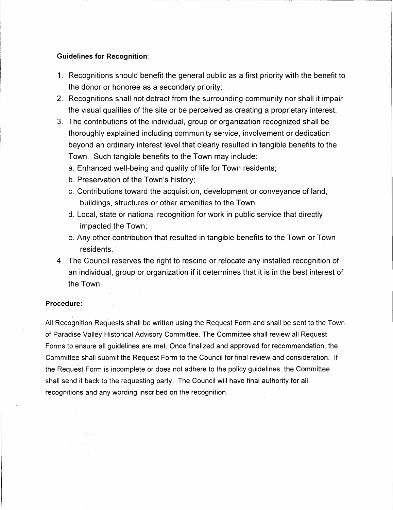### **Guidelines for Recognition:**

- 1. Recognitions should benefit the general public as a first priority with the benefit to the donor or honoree as a secondary priority;
- 2. Recognitions shall not detract from the surrounding community nor shall it impair the visual qualities of the site or be perceived as creating a proprietary interest;
- 3. The contributions of the individual, group or organization recognized shall be thoroughly explained including community service, involvement or dedication beyond an ordinary interest level that clearly resulted in tangible benefits to the Town. Such tangible benefits to the Town may include:
	- a. Enhanced well-being and quality of life for Town residents;
	- b. Preservation of the Town's history;
	- c. Contributions toward the acquisition, development or conveyance of land, buildings, structures or other amenities to the Town;
	- d. Local, state or national recognition for work in public service that directly impacted the Town;
	- e. Any other contribution that resulted in tangible benefits to the Town or Town residents.
- 4. The Council reserves the right to rescind or relocate any installed recognition of an individual, group or organization if it determines that it is in the best interest of the Town.

#### **Procedure:**

 $\sim 10^{11}$ 

 $\frac{1}{2}$  ,  $\frac{1}{2}$  ,  $\frac{1}{2}$  ,  $\frac{1}{2}$  ,  $\frac{1}{2}$  ,  $\frac{1}{2}$ 

 $\label{eq:1} \frac{1}{\sqrt{2}}\sum_{i=1}^n\frac{1}{\sqrt{2}}\sum_{i=1}^n\frac{1}{\sqrt{2}}\sum_{i=1}^n\frac{1}{\sqrt{2}}\sum_{i=1}^n\frac{1}{\sqrt{2}}\sum_{i=1}^n\frac{1}{\sqrt{2}}\sum_{i=1}^n\frac{1}{\sqrt{2}}\sum_{i=1}^n\frac{1}{\sqrt{2}}\sum_{i=1}^n\frac{1}{\sqrt{2}}\sum_{i=1}^n\frac{1}{\sqrt{2}}\sum_{i=1}^n\frac{1}{\sqrt{2}}\sum_{i=1}^n\frac{1$ 

大学学家

All Recognition Requests shall be written using the Request Form and shall be sent to the Town of Paradise Valley Historical Advisory Committee. The Committee shall review all Request Forms to ensure all guidelines are met. Once finalized and approved for recommendation, the Committee shall submit the Request Form to the Council for final review and consideration. If the Request Form is incomplete or does not adhere to the policy guidelines, the Committee shall send it back to the requesting party. The Council will have final authority for all recognitions and any wording inscribed on the recognition.